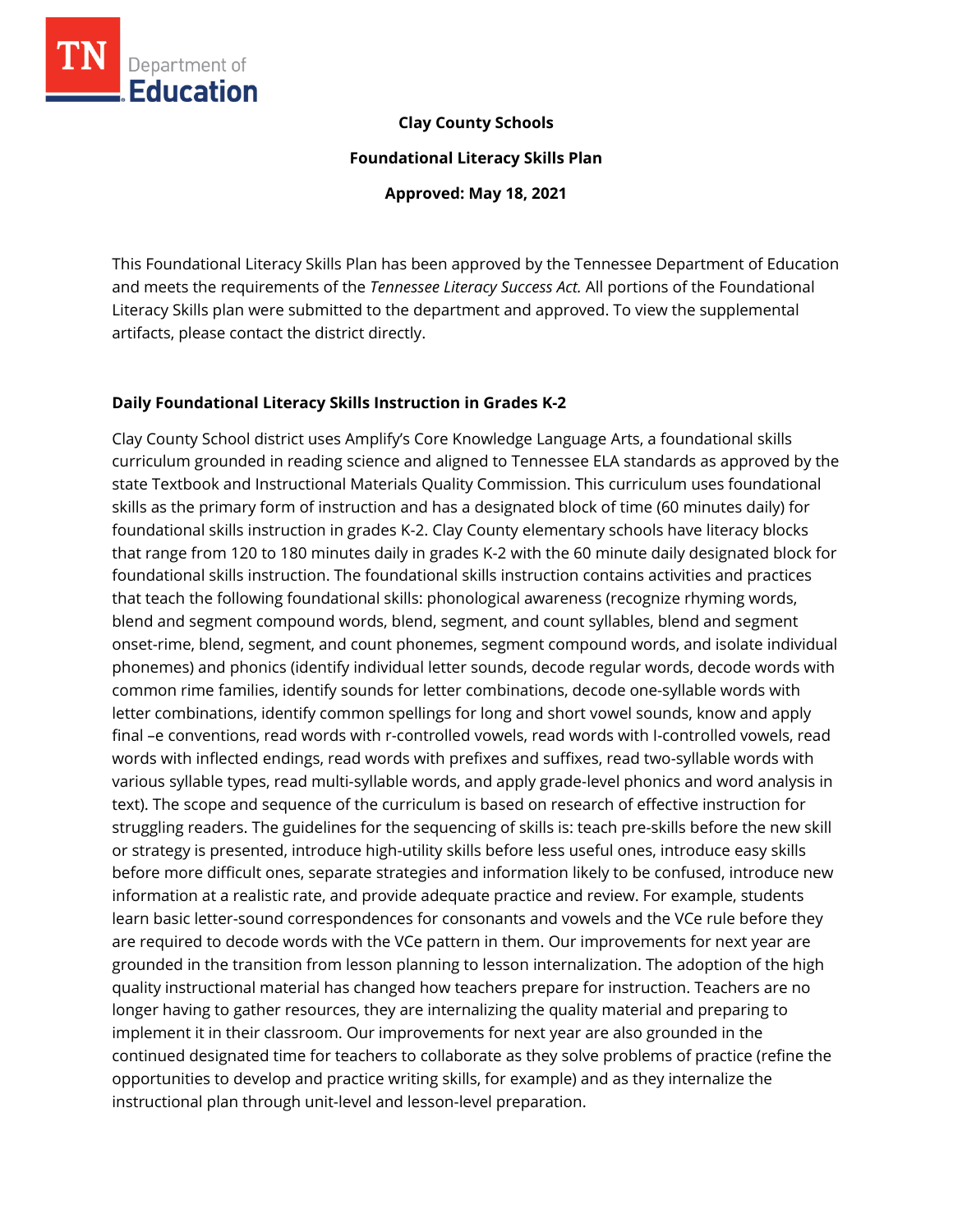

## **Clay County Schools**

**Foundational Literacy Skills Plan**

**Approved: May 18, 2021**

This Foundational Literacy Skills Plan has been approved by the Tennessee Department of Education and meets the requirements of the *Tennessee Literacy Success Act.* All portions of the Foundational Literacy Skills plan were submitted to the department and approved. To view the supplemental artifacts, please contact the district directly.

### **Daily Foundational Literacy Skills Instruction in Grades K-2**

Clay County School district uses Amplify's Core Knowledge Language Arts, a foundational skills curriculum grounded in reading science and aligned to Tennessee ELA standards as approved by the state Textbook and Instructional Materials Quality Commission. This curriculum uses foundational skills as the primary form of instruction and has a designated block of time (60 minutes daily) for foundational skills instruction in grades K-2. Clay County elementary schools have literacy blocks that range from 120 to 180 minutes daily in grades K-2 with the 60 minute daily designated block for foundational skills instruction. The foundational skills instruction contains activities and practices that teach the following foundational skills: phonological awareness (recognize rhyming words, blend and segment compound words, blend, segment, and count syllables, blend and segment onset-rime, blend, segment, and count phonemes, segment compound words, and isolate individual phonemes) and phonics (identify individual letter sounds, decode regular words, decode words with common rime families, identify sounds for letter combinations, decode one-syllable words with letter combinations, identify common spellings for long and short vowel sounds, know and apply final –e conventions, read words with r-controlled vowels, read words with I-controlled vowels, read words with inflected endings, read words with prefixes and suffixes, read two-syllable words with various syllable types, read multi-syllable words, and apply grade-level phonics and word analysis in text). The scope and sequence of the curriculum is based on research of effective instruction for struggling readers. The guidelines for the sequencing of skills is: teach pre-skills before the new skill or strategy is presented, introduce high-utility skills before less useful ones, introduce easy skills before more difficult ones, separate strategies and information likely to be confused, introduce new information at a realistic rate, and provide adequate practice and review. For example, students learn basic letter-sound correspondences for consonants and vowels and the VCe rule before they are required to decode words with the VCe pattern in them. Our improvements for next year are grounded in the transition from lesson planning to lesson internalization. The adoption of the high quality instructional material has changed how teachers prepare for instruction. Teachers are no longer having to gather resources, they are internalizing the quality material and preparing to implement it in their classroom. Our improvements for next year are also grounded in the continued designated time for teachers to collaborate as they solve problems of practice (refine the opportunities to develop and practice writing skills, for example) and as they internalize the instructional plan through unit-level and lesson-level preparation.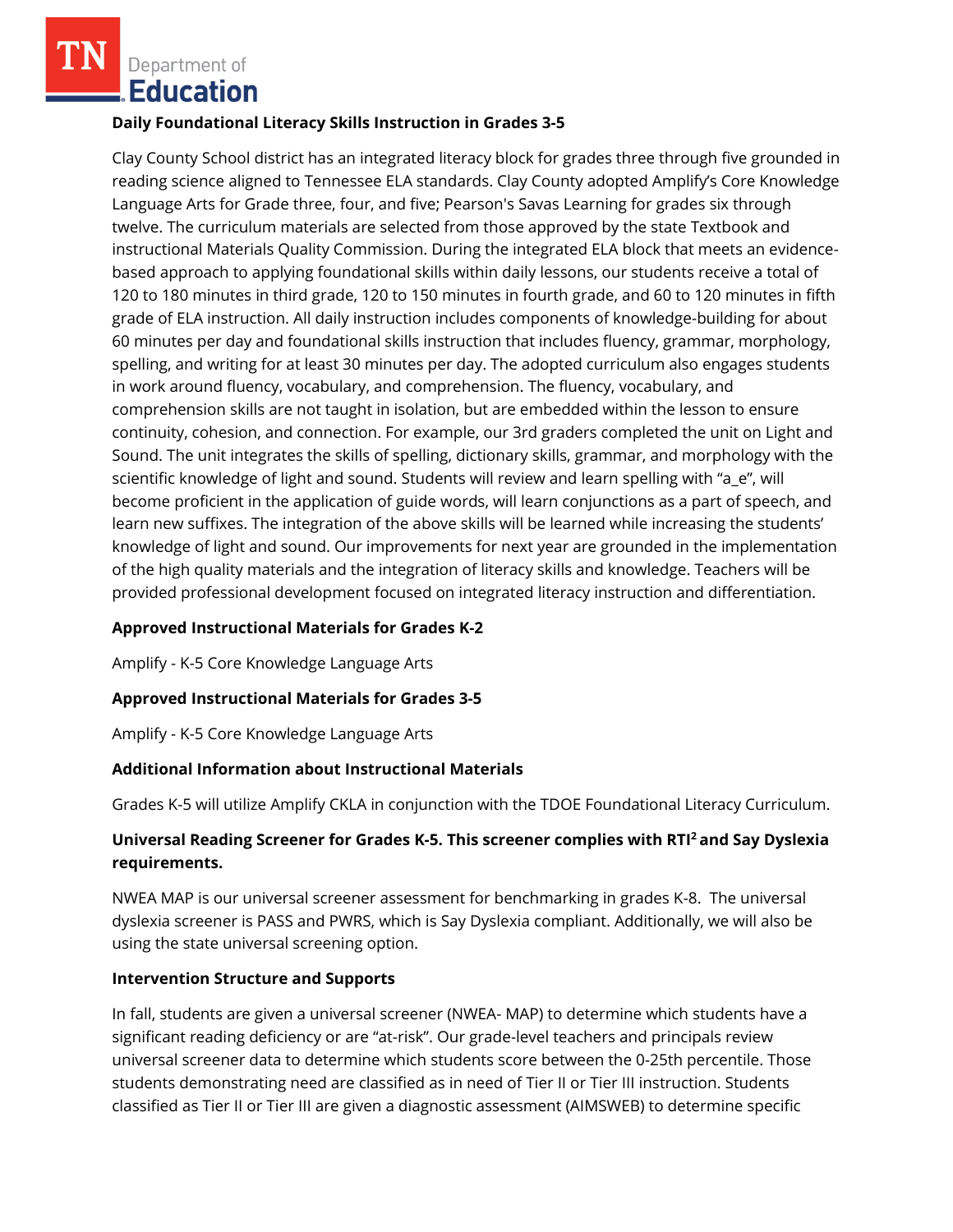### **Daily Foundational Literacy Skills Instruction in Grades 3-5**

Clay County School district has an integrated literacy block for grades three through five grounded in reading science aligned to Tennessee ELA standards. Clay County adopted Amplify's Core Knowledge Language Arts for Grade three, four, and five; Pearson's Savas Learning for grades six through twelve. The curriculum materials are selected from those approved by the state Textbook and instructional Materials Quality Commission. During the integrated ELA block that meets an evidencebased approach to applying foundational skills within daily lessons, our students receive a total of 120 to 180 minutes in third grade, 120 to 150 minutes in fourth grade, and 60 to 120 minutes in fifth grade of ELA instruction. All daily instruction includes components of knowledge-building for about 60 minutes per day and foundational skills instruction that includes fluency, grammar, morphology, spelling, and writing for at least 30 minutes per day. The adopted curriculum also engages students in work around fluency, vocabulary, and comprehension. The fluency, vocabulary, and comprehension skills are not taught in isolation, but are embedded within the lesson to ensure continuity, cohesion, and connection. For example, our 3rd graders completed the unit on Light and Sound. The unit integrates the skills of spelling, dictionary skills, grammar, and morphology with the scientific knowledge of light and sound. Students will review and learn spelling with "a\_e", will become proficient in the application of guide words, will learn conjunctions as a part of speech, and learn new suffixes. The integration of the above skills will be learned while increasing the students' knowledge of light and sound. Our improvements for next year are grounded in the implementation of the high quality materials and the integration of literacy skills and knowledge. Teachers will be provided professional development focused on integrated literacy instruction and differentiation.

## **Approved Instructional Materials for Grades K-2**

Amplify - K-5 Core Knowledge Language Arts

## **Approved Instructional Materials for Grades 3-5**

Amplify - K-5 Core Knowledge Language Arts

## **Additional Information about Instructional Materials**

Grades K-5 will utilize Amplify CKLA in conjunction with the TDOE Foundational Literacy Curriculum.

## **Universal Reading Screener for Grades K-5. This screener complies with RTI<sup>2</sup>and Say Dyslexia requirements.**

NWEA MAP is our universal screener assessment for benchmarking in grades K-8. The universal dyslexia screener is PASS and PWRS, which is Say Dyslexia compliant. Additionally, we will also be using the state universal screening option.

#### **Intervention Structure and Supports**

In fall, students are given a universal screener (NWEA- MAP) to determine which students have a significant reading deficiency or are "at-risk". Our grade-level teachers and principals review universal screener data to determine which students score between the 0-25th percentile. Those students demonstrating need are classified as in need of Tier II or Tier III instruction. Students classified as Tier II or Tier III are given a diagnostic assessment (AIMSWEB) to determine specific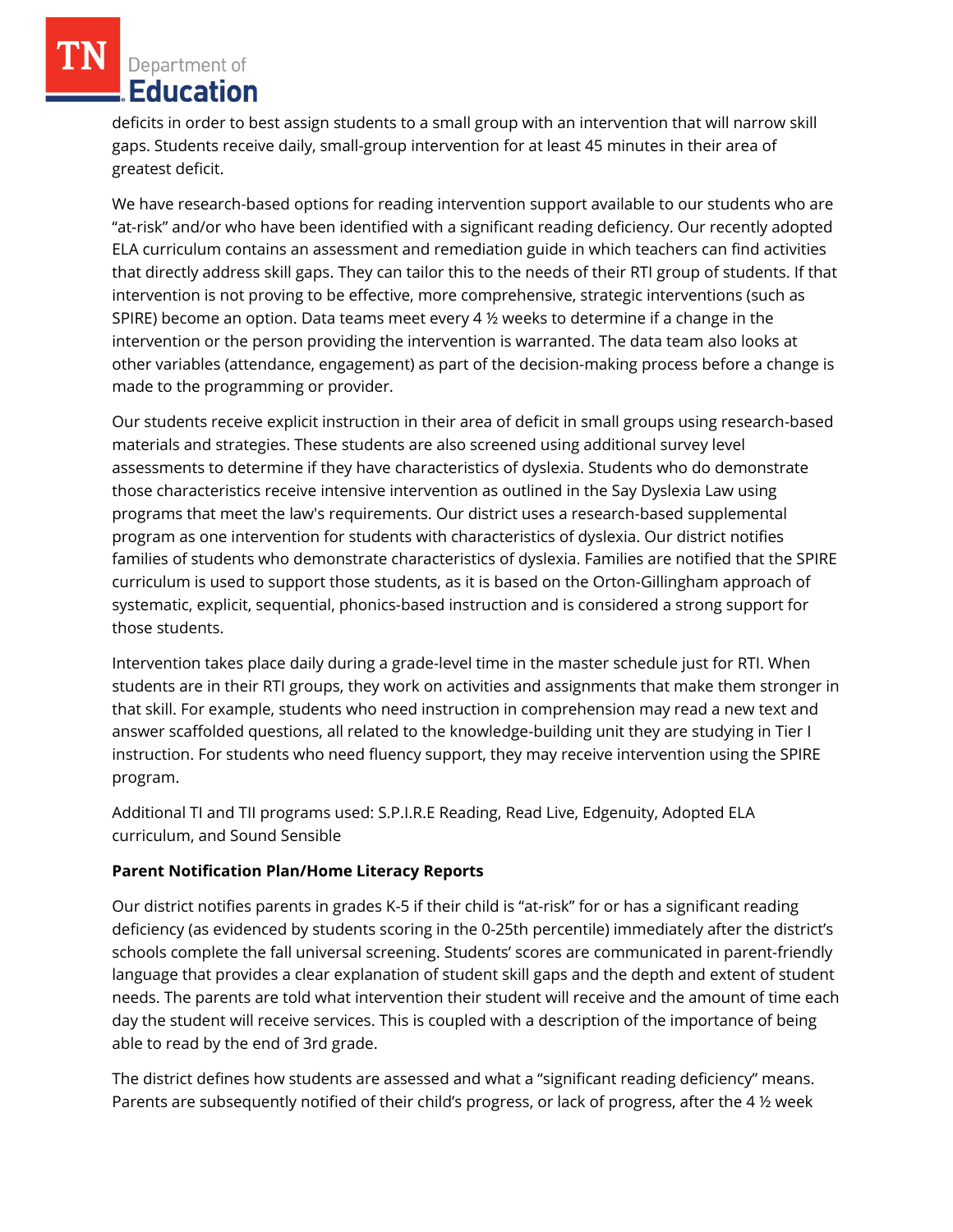deficits in order to best assign students to a small group with an intervention that will narrow skill gaps. Students receive daily, small-group intervention for at least 45 minutes in their area of greatest deficit.

We have research-based options for reading intervention support available to our students who are "at-risk" and/or who have been identified with a significant reading deficiency. Our recently adopted ELA curriculum contains an assessment and remediation guide in which teachers can find activities that directly address skill gaps. They can tailor this to the needs of their RTI group of students. If that intervention is not proving to be effective, more comprehensive, strategic interventions (such as SPIRE) become an option. Data teams meet every 4  $\frac{1}{2}$  weeks to determine if a change in the intervention or the person providing the intervention is warranted. The data team also looks at other variables (attendance, engagement) as part of the decision-making process before a change is made to the programming or provider.

Our students receive explicit instruction in their area of deficit in small groups using research-based materials and strategies. These students are also screened using additional survey level assessments to determine if they have characteristics of dyslexia. Students who do demonstrate those characteristics receive intensive intervention as outlined in the Say Dyslexia Law using programs that meet the law's requirements. Our district uses a research-based supplemental program as one intervention for students with characteristics of dyslexia. Our district notifies families of students who demonstrate characteristics of dyslexia. Families are notified that the SPIRE curriculum is used to support those students, as it is based on the Orton-Gillingham approach of systematic, explicit, sequential, phonics-based instruction and is considered a strong support for those students.

Intervention takes place daily during a grade-level time in the master schedule just for RTI. When students are in their RTI groups, they work on activities and assignments that make them stronger in that skill. For example, students who need instruction in comprehension may read a new text and answer scaffolded questions, all related to the knowledge-building unit they are studying in Tier I instruction. For students who need fluency support, they may receive intervention using the SPIRE program.

Additional TI and TII programs used: S.P.I.R.E Reading, Read Live, Edgenuity, Adopted ELA curriculum, and Sound Sensible

# **Parent Notification Plan/Home Literacy Reports**

Our district notifies parents in grades K-5 if their child is "at-risk" for or has a significant reading deficiency (as evidenced by students scoring in the 0-25th percentile) immediately after the district's schools complete the fall universal screening. Students' scores are communicated in parent-friendly language that provides a clear explanation of student skill gaps and the depth and extent of student needs. The parents are told what intervention their student will receive and the amount of time each day the student will receive services. This is coupled with a description of the importance of being able to read by the end of 3rd grade.

The district defines how students are assessed and what a "significant reading deficiency" means. Parents are subsequently notified of their child's progress, or lack of progress, after the 4 ½ week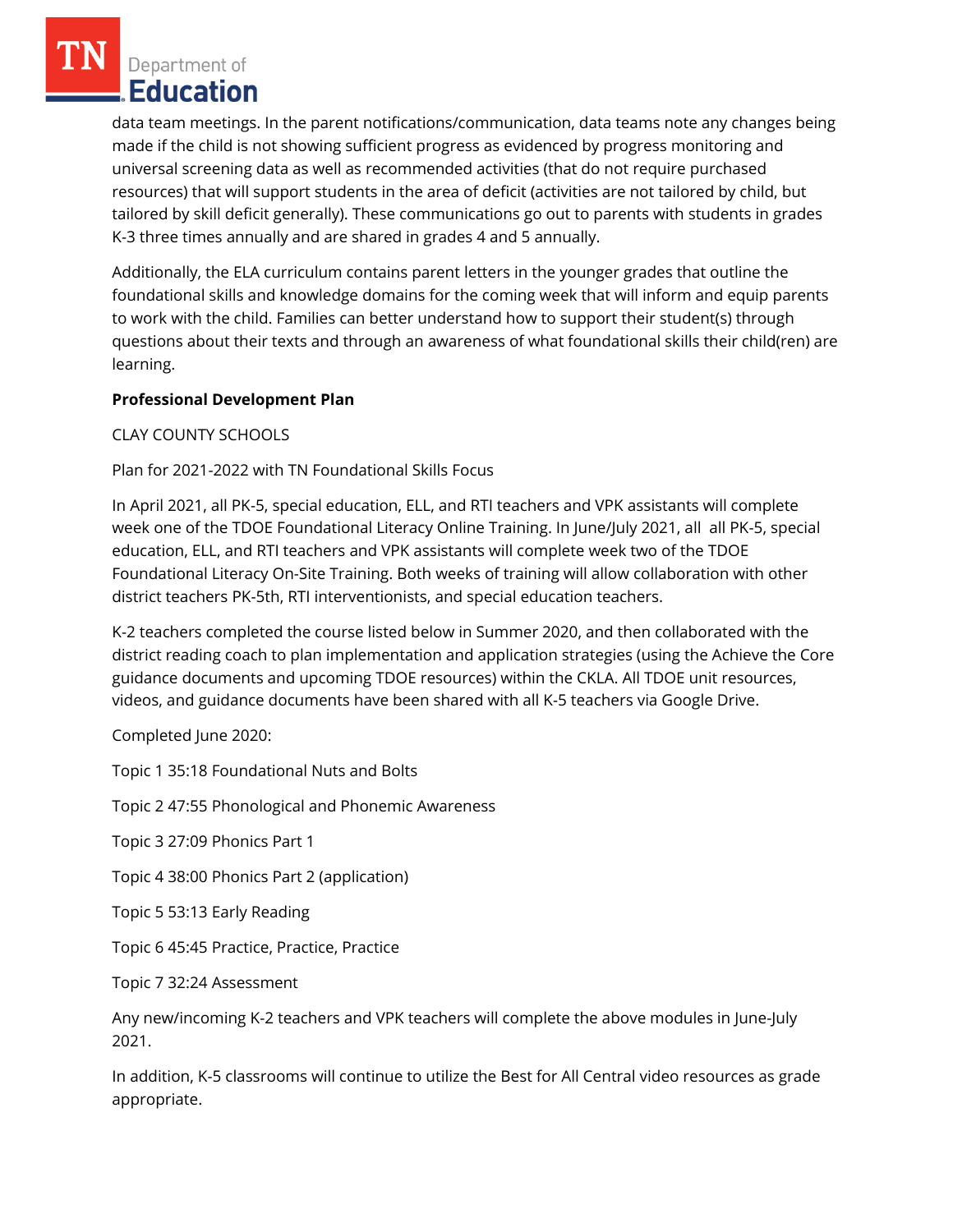data team meetings. In the parent notifications/communication, data teams note any changes being made if the child is not showing sufficient progress as evidenced by progress monitoring and universal screening data as well as recommended activities (that do not require purchased resources) that will support students in the area of deficit (activities are not tailored by child, but tailored by skill deficit generally). These communications go out to parents with students in grades K-3 three times annually and are shared in grades 4 and 5 annually.

Additionally, the ELA curriculum contains parent letters in the younger grades that outline the foundational skills and knowledge domains for the coming week that will inform and equip parents to work with the child. Families can better understand how to support their student(s) through questions about their texts and through an awareness of what foundational skills their child(ren) are learning.

# **Professional Development Plan**

CLAY COUNTY SCHOOLS

## Plan for 2021-2022 with TN Foundational Skills Focus

In April 2021, all PK-5, special education, ELL, and RTI teachers and VPK assistants will complete week one of the TDOE Foundational Literacy Online Training. In June/July 2021, all all PK-5, special education, ELL, and RTI teachers and VPK assistants will complete week two of the TDOE Foundational Literacy On-Site Training. Both weeks of training will allow collaboration with other district teachers PK-5th, RTI interventionists, and special education teachers.

K-2 teachers completed the course listed below in Summer 2020, and then collaborated with the district reading coach to plan implementation and application strategies (using the Achieve the Core guidance documents and upcoming TDOE resources) within the CKLA. All TDOE unit resources, videos, and guidance documents have been shared with all K-5 teachers via Google Drive.

Completed June 2020:

Topic 1 35:18 Foundational Nuts and Bolts

Topic 2 47:55 Phonological and Phonemic Awareness

Topic 3 27:09 Phonics Part 1

Topic 4 38:00 Phonics Part 2 (application)

Topic 5 53:13 Early Reading

Topic 6 45:45 Practice, Practice, Practice

Topic 7 32:24 Assessment

Any new/incoming K-2 teachers and VPK teachers will complete the above modules in June-July 2021.

In addition, K-5 classrooms will continue to utilize the Best for All Central video resources as grade appropriate.